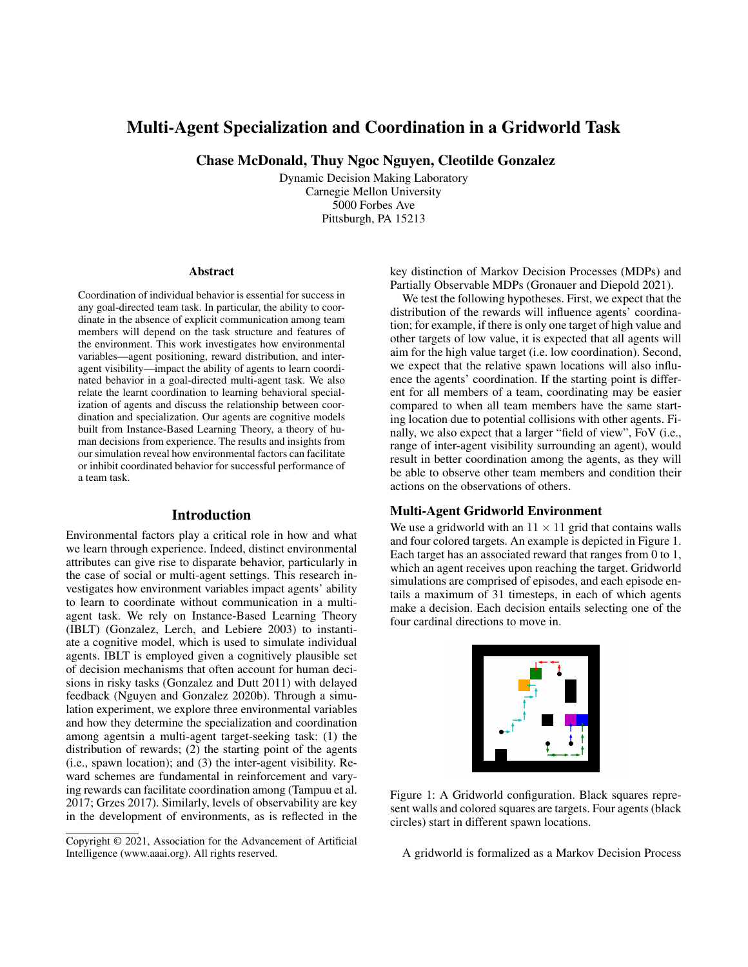# Multi-Agent Specialization and Coordination in a Gridworld Task

Chase McDonald, Thuy Ngoc Nguyen, Cleotilde Gonzalez

Dynamic Decision Making Laboratory Carnegie Mellon University 5000 Forbes Ave Pittsburgh, PA 15213

#### Abstract

Coordination of individual behavior is essential for success in any goal-directed team task. In particular, the ability to coordinate in the absence of explicit communication among team members will depend on the task structure and features of the environment. This work investigates how environmental variables—agent positioning, reward distribution, and interagent visibility—impact the ability of agents to learn coordinated behavior in a goal-directed multi-agent task. We also relate the learnt coordination to learning behavioral specialization of agents and discuss the relationship between coordination and specialization. Our agents are cognitive models built from Instance-Based Learning Theory, a theory of human decisions from experience. The results and insights from our simulation reveal how environmental factors can facilitate or inhibit coordinated behavior for successful performance of a team task.

### Introduction

Environmental factors play a critical role in how and what we learn through experience. Indeed, distinct environmental attributes can give rise to disparate behavior, particularly in the case of social or multi-agent settings. This research investigates how environment variables impact agents' ability to learn to coordinate without communication in a multiagent task. We rely on Instance-Based Learning Theory (IBLT) (Gonzalez, Lerch, and Lebiere 2003) to instantiate a cognitive model, which is used to simulate individual agents. IBLT is employed given a cognitively plausible set of decision mechanisms that often account for human decisions in risky tasks (Gonzalez and Dutt 2011) with delayed feedback (Nguyen and Gonzalez 2020b). Through a simulation experiment, we explore three environmental variables and how they determine the specialization and coordination among agentsin a multi-agent target-seeking task: (1) the distribution of rewards; (2) the starting point of the agents (i.e., spawn location); and (3) the inter-agent visibility. Reward schemes are fundamental in reinforcement and varying rewards can facilitate coordination among (Tampuu et al. 2017; Grzes 2017). Similarly, levels of observability are key in the development of environments, as is reflected in the key distinction of Markov Decision Processes (MDPs) and Partially Observable MDPs (Gronauer and Diepold 2021).

We test the following hypotheses. First, we expect that the distribution of the rewards will influence agents' coordination; for example, if there is only one target of high value and other targets of low value, it is expected that all agents will aim for the high value target (i.e. low coordination). Second, we expect that the relative spawn locations will also influence the agents' coordination. If the starting point is different for all members of a team, coordinating may be easier compared to when all team members have the same starting location due to potential collisions with other agents. Finally, we also expect that a larger "field of view", FoV (i.e., range of inter-agent visibility surrounding an agent), would result in better coordination among the agents, as they will be able to observe other team members and condition their actions on the observations of others.

### Multi-Agent Gridworld Environment

We use a gridworld with an  $11 \times 11$  grid that contains walls and four colored targets. An example is depicted in Figure 1. Each target has an associated reward that ranges from 0 to 1, which an agent receives upon reaching the target. Gridworld simulations are comprised of episodes, and each episode entails a maximum of 31 timesteps, in each of which agents make a decision. Each decision entails selecting one of the four cardinal directions to move in.



Figure 1: A Gridworld configuration. Black squares represent walls and colored squares are targets. Four agents (black circles) start in different spawn locations.

A gridworld is formalized as a Markov Decision Process

Copyright © 2021, Association for the Advancement of Artificial Intelligence (www.aaai.org). All rights reserved.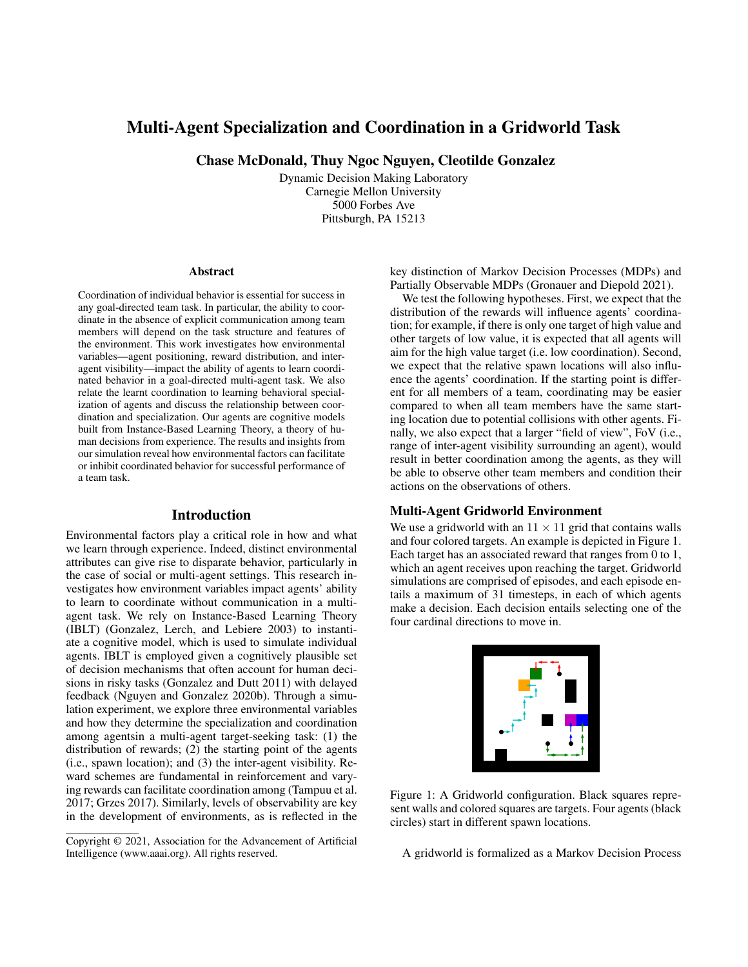(MDP). Each MDP  $M$  has a state space  $S$ , and, in its most simple form, each  $(x, y)$ -coordinate in the grid represents a state  $S \in \mathcal{S}$ . At each within-episode time step  $t \in \{1, \ldots, T\}$ , an agent j observes their state  $S_{i,t}$ , then takes an action  $A_{i,t}$ from a common action space  $A$  (up/down/left/right) to move into state  $S_{i,t+1}$  and observes the reward (or cost)  $R_{i,t}$ . By executing a policy  $j$  in the environment  $M$ , an agent creates a trajectory denoted by  $\mathcal{T}_j = \{ (S_{j,t}, A_{j,t}) \}_{t=1}^T$ . Each environment is a  $11 \times 11$  grid that contains obstacles (black cells) and four colored targets, an example of which is depicted in Figure 1. Each target has an associated reward that ranges from 0 to 1 which an agent receives upon reaching the target. See also: (Nguyen and Gonzalez 2020a,b).

The multi-agent gridworld simulations include four agents, each acting in agreement with the IBL algorithm (described below). Each agent is penalized for each step taken in the environment (-0.01) and for running into walls or other agents (-0.05). If two agents attempt to move to the same position, one is randomly prioritized and moves successfully, while the other receives the collision penalty  $(-0.05)$ and their position is unchanged. At the beginning of each episode, agents spawn at their respective location and each agent simultaneously takes an action until all agents have reached a target or 31 steps have elapsed, forming a trajectory. Importantly, no two agents may reach the same target; once a target has been reached by one agent, they occupy that position and stop interacting with the environment until the episode terminates.

## Instance-Based Learning Model in the Multi-Agent Gridworld task

Each agent acts according to an algorithm defined in the Instance-Based Learning Theory (IBLT) (Gonzalez, Lerch, and Lebiere 2003). Each agent in the team stores and manages its own memory of instances. In IBLT an instance is a memory unit stored when a decision is evaluated or experienced, and it is comprised of three distinct parts: a situation (or state)  $S$  (the attributes describing the context of the decision), a decision (or action)  $A$ , and a utility (or reward)  $R$ . The IBL agent of the gridworld stores instances that contain the location  $(x, y)$ , the decision is the possible movement of the agent, and the outcome that the agent receives as a result.

To make choices, IBL models use the choice mechanism *Blending* (Gonzalez and Dutt 2011), defined as an expected value for each alternative, where the outcomes of past instances are weighted by the probability of retrieving such instances from memory. The IBL model selects the alternative with the highest blended value.

Let an option  $k = (S, A)$  be defined by taking an action A in state S. At time t, assume that there are  $n_{k,t}$  different generated instances  $(k; x_{i;k;t})$  for  $i = 1; \dots; n_{k;t}$ , which correspond to selecting k and achieving outcome  $x_{i,k,t}$ . Then, IBLT associates each instance  $\ell$  in memory with an activation value (Eqn. 1), representing how readily available that information is in memory (Anderson and Lebiere 2014):

$$
Act_{i;k;t} = \ln \frac{\times}{t^{\prime}2T_{i,k,t}}(t-t^{\phi})^{d} + \ln \frac{1-i_{i;k;t}}{i_{i;k;t}} \quad (1)
$$

where  $d$  and are decay and noise parameters, respectively;  $T_{i;k;t} \subset \{0; \dots; t-1\}$  is the set of previous steps in which the instance *i* was observed, and  $i_{i,k;t} \sim$ Uniform $(0, 1)$  is a randomly generated value. The activation is used to determine the probability of retrieval (Eqn. 2) of an instance from memory:

$$
p_{i;k,t} = \frac{e^{Act_{i,k,t}=}}{\prod_{\substack{n_{k,t} \\ j=1}}^{\text{R}} e^{Act_{j,k,t}=}}
$$
(2)

This, in turn, is used to calculate the expected utility, or blended value (Eqn. 3, of an option  $k$ , based on a blending mechanism designed for choice tasks (Lebiere 1999; Lejarraga, Dutt, and Gonzalez 2012; Gonzalez and Dutt 2011):

$$
V_{k;t} = \sum_{j=1}^{\frac{4k}{k},t} p_{i;k;t} X_{i;k;t}
$$
 (3)

where is the Boltzmann constant that we define as  $=$  $\sqrt{2}$ .

## Simulation Experiment

We ran a 2 (Distribution of rewards: Dirichlet or Uniform)  $\times$ 2 (Spawn location: common or distinct) $\times$  2 (Field of View (FoV): 1 or 3) simulation experiment.

Reward distribution: target rewards are distributed according to a Dirichlet distribution, where one target is valued significantly higher than the rest, or uniformly, where reaching any target will return a reward of 1.0.

Spawn location: the Spawn location is either common to all agents (with the common spawn point changing in each episode) or distinct (agents rotate through these distinct positions between episodes).

Inter-agent visibility: the FoV refers to the observability of the agent's surroundings. FoV1 indicates the the agent "sees" nothing around it, where FoV3 indicates that the agent observes whether another agent is in a space of size  $3 \times 3$  around its current  $x - y$  coordinate. This changes the instance representation of agent *j* from  $S_i = (x_i, y_i)$  to  $S_j = (x_j, y_j, \{x_k, y_k\}_{k=1,k\in j}^{\#\text{agents}})$  where  $x_k, y_k$  are null values if agent k is not within the  $3 \times 3$  field of view.

For the dependent measures, we considered the following metrics:

(1) Efficiency: the ratio of their positive rewards to the movement cost, formally measured for each agent's trajectory  $\mathcal{T}_i$ :

Efficiency
$$
(\mathcal{T}_j)
$$
 = (  $|\mathcal{T}_j|$ )  $\sum_{j=1}^{i \overline{\mathcal{X}}_j j} \max(0; R_{j,t})$ 

where  $= 0.01$  is the step penalty.

(2) Coordination: the proportion of times that all agents reach a target in a single episode. In our task, we define coordinated behavior to be behavior that results in successful completion of the task—reaching all of the unique targets in an episode. In order for this to occur, the agents must each navigate to distinct targets, and avoid competition or strategic mismatches that result in collisions.